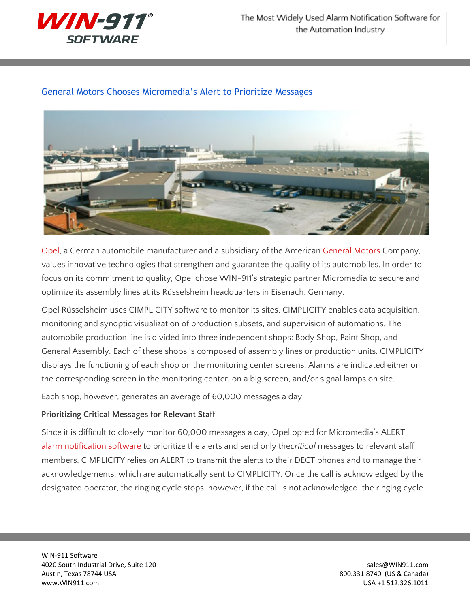

## General Motors Chooses [Micromedia's](http://www.win911.com/opel-chooses-micromedias-alert-prioritize-messages/) Alert to Prioritize Messages



[Opel,](http://www.opel.com/) a German automobile manufacturer and a subsidiary of the American [General](http://www.gm.com/) Motors Company, values innovative technologies that strengthen and guarantee the quality of its automobiles. In order to focus on its commitment to quality, Opel chose WIN-911's strategic partner Micromedia to secure and optimize its assembly lines at its Rüsselsheim headquarters in Eisenach, Germany.

Opel Rüsselsheim uses CIMPLICITY software to monitor its sites. CIMPLICITY enables data acquisition, monitoring and synoptic visualization of production subsets, and supervision of automations. The automobile production line is divided into three independent shops: Body Shop, Paint Shop, and General Assembly. Each of these shops is composed of assembly lines or production units. CIMPLICITY displays the functioning of each shop on the monitoring center screens. Alarms are indicated either on the corresponding screen in the monitoring center, on a big screen, and/or signal lamps on site.

Each shop, however, generates an average of 60,000 messages a day.

## **Prioritizing Critical Messages for Relevant Staff**

Since it is difficult to closely monitor 60,000 messages a day, Opel opted for Micromedia's ALERT alarm [notification](http://www.win911.com/features-of-win-911-alarm-notification-software/) software to prioritize the alerts and send only the*critical* messages to relevant staff members. CIMPLICITY relies on ALERT to transmit the alerts to their DECT phones and to manage their acknowledgements, which are automatically sent to CIMPLICITY. Once the call is acknowledged by the designated operator, the ringing cycle stops; however, if the call is not acknowledged, the ringing cycle

WIN-911 Software 4020 South Industrial Drive, Suite 120 sales extends to the state of the state of the state of the state of the state of the state of the state of the state of the state of the state of the state of the state of the state Austin, Texas 78744 USA 800.331.8740 (US & Canada) www.WIN911.com USA +1 512.326.1011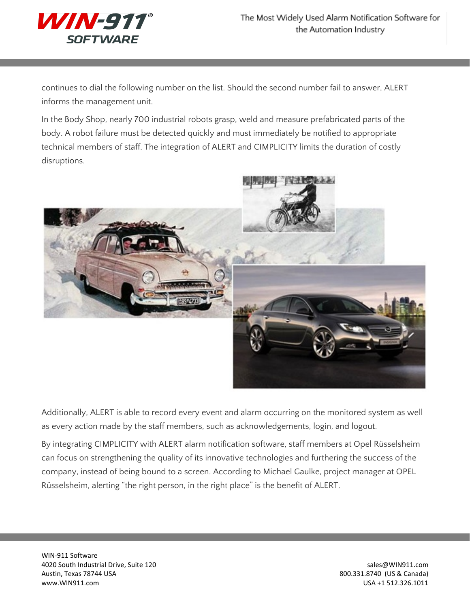

continues to dial the following number on the list. Should the second number fail to answer, ALERT informs the management unit.

In the Body Shop, nearly 700 industrial robots grasp, weld and measure prefabricated parts of the body. A robot failure must be detected quickly and must immediately be notified to appropriate technical members of staff. The integration of ALERT and CIMPLICITY limits the duration of costly disruptions.



Additionally, ALERT is able to record every event and alarm occurring on the monitored system as well as every action made by the staff members, such as acknowledgements, login, and logout.

By integrating CIMPLICITY with ALERT alarm notification software, staff members at Opel Rüsselsheim can focus on strengthening the quality of its innovative technologies and furthering the success of the company, instead of being bound to a screen. According to Michael Gaulke, project manager at OPEL Rüsselsheim, alerting "the right person, in the right place" is the benefit of ALERT.